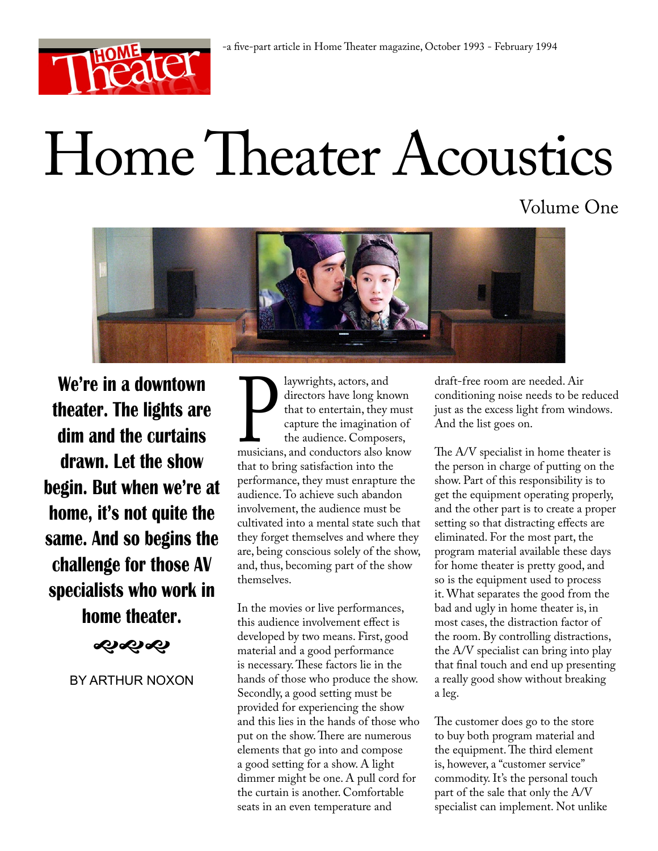

# Home Theater Acoustics

Volume One



**We're in a downtown theater. The lights are dim and the curtains drawn. Let the show begin. But when we're at home, it's not quite the same. And so begins the challenge for those AV specialists who work in home theater.**

ぐぶむ

BY ARTHUR NOXON

Flaywrights, actors, and<br>directors have long know<br>that to entertain, they m<br>capture the imagination<br>the audience. Composer<br>musicians, and conductors also kn<br>that to bring satisfaction into the directors have long known that to entertain, they must capture the imagination of the audience. Composers, musicians, and conductors also know performance, they must enrapture the audience. To achieve such abandon involvement, the audience must be cultivated into a mental state such that they forget themselves and where they are, being conscious solely of the show, and, thus, becoming part of the show themselves.

In the movies or live performances, this audience involvement effect is developed by two means. First, good material and a good performance is necessary. These factors lie in the hands of those who produce the show. Secondly, a good setting must be provided for experiencing the show and this lies in the hands of those who put on the show. There are numerous elements that go into and compose a good setting for a show. A light dimmer might be one. A pull cord for the curtain is another. Comfortable seats in an even temperature and

draft-free room are needed. Air conditioning noise needs to be reduced just as the excess light from windows. And the list goes on.

The A/V specialist in home theater is the person in charge of putting on the show. Part of this responsibility is to get the equipment operating properly, and the other part is to create a proper setting so that distracting effects are eliminated. For the most part, the program material available these days for home theater is pretty good, and so is the equipment used to process it. What separates the good from the bad and ugly in home theater is, in most cases, the distraction factor of the room. By controlling distractions, the A/V specialist can bring into play that final touch and end up presenting a really good show without breaking a leg.

The customer does go to the store to buy both program material and the equipment. The third element is, however, a "customer service" commodity. It's the personal touch part of the sale that only the A/V specialist can implement. Not unlike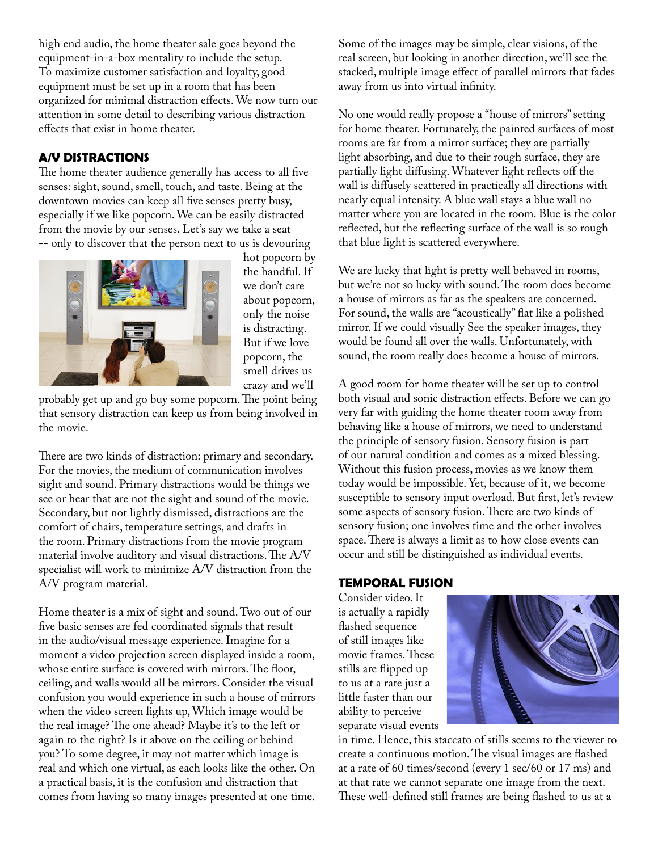high end audio, the home theater sale goes beyond the equipment-in-a-box mentality to include the setup. To maximize customer satisfaction and loyalty, good equipment must be set up in a room that has been organized for minimal distraction effects. We now turn our attention in some detail to describing various distraction effects that exist in home theater.

# **A/V DISTRACTIONS**

The home theater audience generally has access to all five senses: sight, sound, smell, touch, and taste. Being at the downtown movies can keep all five senses pretty busy, especially if we like popcorn. We can be easily distracted from the movie by our senses. Let's say we take a seat -- only to discover that the person next to us is devouring



hot popcorn by the handful. If we don't care about popcorn, only the noise is distracting. But if we love popcorn, the smell drives us crazy and we'll

probably get up and go buy some popcorn. The point being that sensory distraction can keep us from being involved in the movie.

There are two kinds of distraction: primary and secondary. For the movies, the medium of communication involves sight and sound. Primary distractions would be things we see or hear that are not the sight and sound of the movie. Secondary, but not lightly dismissed, distractions are the comfort of chairs, temperature settings, and drafts in the room. Primary distractions from the movie program material involve auditory and visual distractions. The A/V specialist will work to minimize A/V distraction from the A/V program material.

Home theater is a mix of sight and sound. Two out of our five basic senses are fed coordinated signals that result in the audio/visual message experience. Imagine for a moment a video projection screen displayed inside a room, whose entire surface is covered with mirrors. The floor, ceiling, and walls would all be mirrors. Consider the visual confusion you would experience in such a house of mirrors when the video screen lights up, Which image would be the real image? The one ahead? Maybe it's to the left or again to the right? Is it above on the ceiling or behind you? To some degree, it may not matter which image is real and which one virtual, as each looks like the other. On a practical basis, it is the confusion and distraction that comes from having so many images presented at one time. Some of the images may be simple, clear visions, of the real screen, but looking in another direction, we'll see the stacked, multiple image effect of parallel mirrors that fades away from us into virtual infinity.

No one would really propose a "house of mirrors" setting for home theater. Fortunately, the painted surfaces of most rooms are far from a mirror surface; they are partially light absorbing, and due to their rough surface, they are partially light diffusing. Whatever light reflects off the wall is diffusely scattered in practically all directions with nearly equal intensity. A blue wall stays a blue wall no matter where you are located in the room. Blue is the color reflected, but the reflecting surface of the wall is so rough that blue light is scattered everywhere.

We are lucky that light is pretty well behaved in rooms, but we're not so lucky with sound. The room does become a house of mirrors as far as the speakers are concerned. For sound, the walls are "acoustically" flat like a polished mirror. If we could visually See the speaker images, they would be found all over the walls. Unfortunately, with sound, the room really does become a house of mirrors.

A good room for home theater will be set up to control both visual and sonic distraction effects. Before we can go very far with guiding the home theater room away from behaving like a house of mirrors, we need to understand the principle of sensory fusion. Sensory fusion is part of our natural condition and comes as a mixed blessing. Without this fusion process, movies as we know them today would be impossible. Yet, because of it, we become susceptible to sensory input overload. But first, let's review some aspects of sensory fusion. There are two kinds of sensory fusion; one involves time and the other involves space. There is always a limit as to how close events can occur and still be distinguished as individual events.

### **TEMPORAL FUSION**

Consider video. It is actually a rapidly flashed sequence of still images like movie frames. These stills are flipped up to us at a rate just a little faster than our ability to perceive separate visual events



in time. Hence, this staccato of stills seems to the viewer to create a continuous motion. The visual images are flashed at a rate of 60 times/second (every 1 sec/60 or 17 ms) and at that rate we cannot separate one image from the next. These well-defined still frames are being flashed to us at a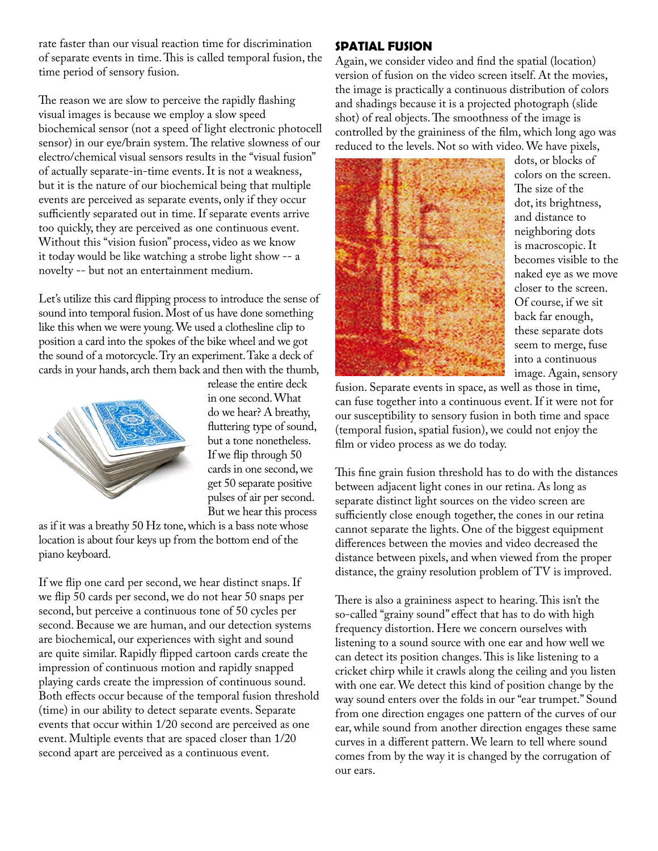rate faster than our visual reaction time for discrimination of separate events in time. This is called temporal fusion, the time period of sensory fusion.

The reason we are slow to perceive the rapidly flashing visual images is because we employ a slow speed biochemical sensor (not a speed of light electronic photocell sensor) in our eye/brain system. The relative slowness of our electro/chemical visual sensors results in the "visual fusion" of actually separate-in-time events. It is not a weakness, but it is the nature of our biochemical being that multiple events are perceived as separate events, only if they occur sufficiently separated out in time. If separate events arrive too quickly, they are perceived as one continuous event. Without this "vision fusion" process, video as we know it today would be like watching a strobe light show -- a novelty -- but not an entertainment medium.

Let's utilize this card flipping process to introduce the sense of sound into temporal fusion. Most of us have done something like this when we were young. We used a clothesline clip to position a card into the spokes of the bike wheel and we got the sound of a motorcycle. Try an experiment. Take a deck of cards in your hands, arch them back and then with the thumb,



release the entire deck in one second. What do we hear? A breathy, fluttering type of sound, but a tone nonetheless. If we flip through 50 cards in one second, we get 50 separate positive pulses of air per second. But we hear this process

as if it was a breathy 50 Hz tone, which is a bass note whose location is about four keys up from the bottom end of the piano keyboard.

If we flip one card per second, we hear distinct snaps. If we flip 50 cards per second, we do not hear 50 snaps per second, but perceive a continuous tone of 50 cycles per second. Because we are human, and our detection systems are biochemical, our experiences with sight and sound are quite similar. Rapidly flipped cartoon cards create the impression of continuous motion and rapidly snapped playing cards create the impression of continuous sound. Both effects occur because of the temporal fusion threshold (time) in our ability to detect separate events. Separate events that occur within 1/20 second are perceived as one event. Multiple events that are spaced closer than 1/20 second apart are perceived as a continuous event.

## **SPATIAL FUSION**

Again, we consider video and find the spatial (location) version of fusion on the video screen itself. At the movies, the image is practically a continuous distribution of colors and shadings because it is a projected photograph (slide shot) of real objects. The smoothness of the image is controlled by the graininess of the film, which long ago was reduced to the levels. Not so with video. We have pixels,



dots, or blocks of colors on the screen. The size of the dot, its brightness, and distance to neighboring dots is macroscopic. It becomes visible to the naked eye as we move closer to the screen. Of course, if we sit back far enough, these separate dots seem to merge, fuse into a continuous image. Again, sensory

fusion. Separate events in space, as well as those in time, can fuse together into a continuous event. If it were not for our susceptibility to sensory fusion in both time and space (temporal fusion, spatial fusion), we could not enjoy the film or video process as we do today.

This fine grain fusion threshold has to do with the distances between adjacent light cones in our retina. As long as separate distinct light sources on the video screen are sufficiently close enough together, the cones in our retina cannot separate the lights. One of the biggest equipment differences between the movies and video decreased the distance between pixels, and when viewed from the proper distance, the grainy resolution problem of TV is improved.

There is also a graininess aspect to hearing. This isn't the so-called "grainy sound" effect that has to do with high frequency distortion. Here we concern ourselves with listening to a sound source with one ear and how well we can detect its position changes. This is like listening to a cricket chirp while it crawls along the ceiling and you listen with one ear. We detect this kind of position change by the way sound enters over the folds in our "ear trumpet." Sound from one direction engages one pattern of the curves of our ear, while sound from another direction engages these same curves in a different pattern. We learn to tell where sound comes from by the way it is changed by the corrugation of our ears.